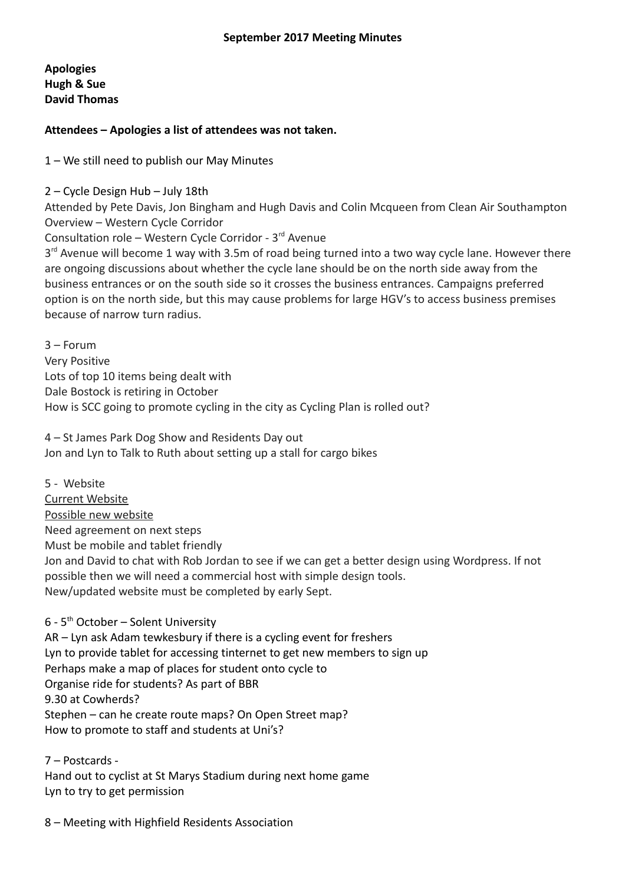**Apologies Hugh & Sue David Thomas**

**Attendees – Apologies a list of attendees was not taken.**

1 – We still need to publish our May Minutes

2 – Cycle Design Hub – July 18th

Attended by Pete Davis, Jon Bingham and Hugh Davis and Colin Mcqueen from Clean Air Southampton Overview – Western Cycle Corridor

Consultation role – Western Cycle Corridor - 3<sup>rd</sup> Avenue

3<sup>rd</sup> Avenue will become 1 way with 3.5m of road being turned into a two way cycle lane. However there are ongoing discussions about whether the cycle lane should be on the north side away from the business entrances or on the south side so it crosses the business entrances. Campaigns preferred option is on the north side, but this may cause problems for large HGV's to access business premises because of narrow turn radius.

3 – Forum Very Positive Lots of top 10 items being dealt with Dale Bostock is retiring in October How is SCC going to promote cycling in the city as Cycling Plan is rolled out?

4 – St James Park Dog Show and Residents Day out Jon and Lyn to Talk to Ruth about setting up a stall for cargo bikes

5 - Website [Current Website](http://www.southamptoncyclingcampaign.org.uk/) [Possible new website](http://scc.bagu.uk/) Need agreement on next steps Must be mobile and tablet friendly Jon and David to chat with Rob Jordan to see if we can get a better design using Wordpress. If not possible then we will need a commercial host with simple design tools. New/updated website must be completed by early Sept.

 $6 - 5$ <sup>th</sup> October – Solent University AR – Lyn ask Adam tewkesbury if there is a cycling event for freshers Lyn to provide tablet for accessing tinternet to get new members to sign up Perhaps make a map of places for student onto cycle to Organise ride for students? As part of BBR 9.30 at Cowherds? Stephen – can he create route maps? On Open Street map? How to promote to staff and students at Uni's?

7 – Postcards - Hand out to cyclist at St Marys Stadium during next home game Lyn to try to get permission

8 – Meeting with Highfield Residents Association